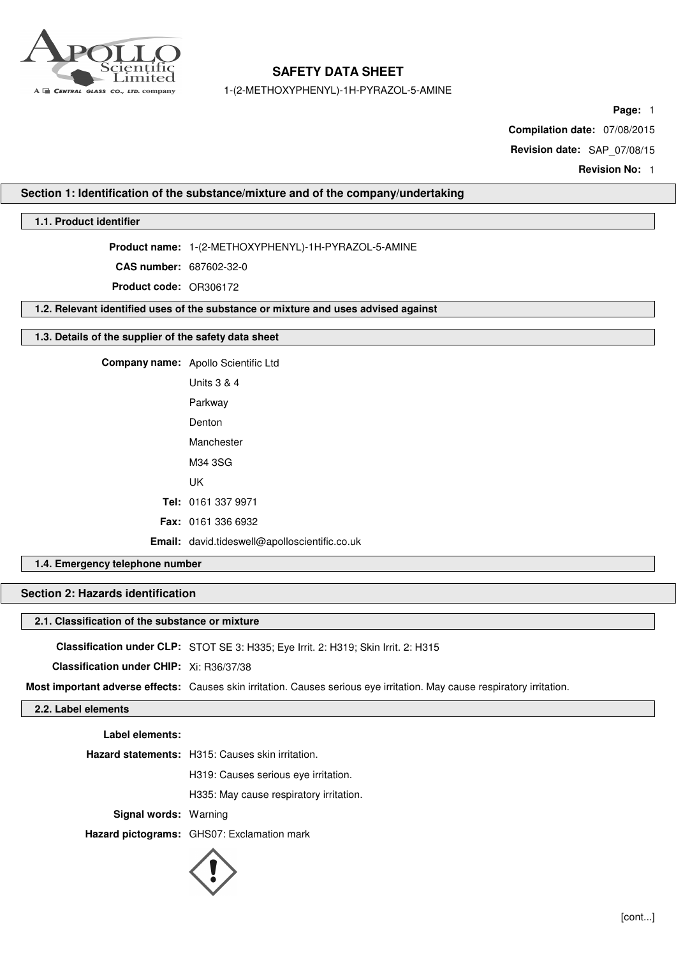

1-(2-METHOXYPHENYL)-1H-PYRAZOL-5-AMINE

**Page:** 1

**Compilation date:** 07/08/2015

**Revision date:** SAP\_07/08/15

**Revision No:** 1

### **Section 1: Identification of the substance/mixture and of the company/undertaking**

### **1.1. Product identifier**

**Product name:** 1-(2-METHOXYPHENYL)-1H-PYRAZOL-5-AMINE

**CAS number:** 687602-32-0

**Product code:** OR306172

**1.2. Relevant identified uses of the substance or mixture and uses advised against**

### **1.3. Details of the supplier of the safety data sheet**

|  | Company name: Apollo Scientific Ltd           |
|--|-----------------------------------------------|
|  | <b>Units 3 &amp; 4</b>                        |
|  | Parkway                                       |
|  | Denton                                        |
|  | Manchester                                    |
|  | M34 3SG                                       |
|  | UK                                            |
|  | Tel: 0161 337 9971                            |
|  | <b>Fax: 0161 336 6932</b>                     |
|  | Email: david.tideswell@apolloscientific.co.uk |

### **1.4. Emergency telephone number**

### **Section 2: Hazards identification**

### **2.1. Classification of the substance or mixture**

**Classification under CLP:** STOT SE 3: H335; Eye Irrit. 2: H319; Skin Irrit. 2: H315

**Classification under CHIP:** Xi: R36/37/38

**Most important adverse effects:** Causes skin irritation. Causes serious eye irritation. May cause respiratory irritation.

### **2.2. Label elements**

**Label elements:**

**Hazard statements:** H315: Causes skin irritation.

H319: Causes serious eye irritation.

H335: May cause respiratory irritation.

**Signal words:** Warning

**Hazard pictograms:** GHS07: Exclamation mark

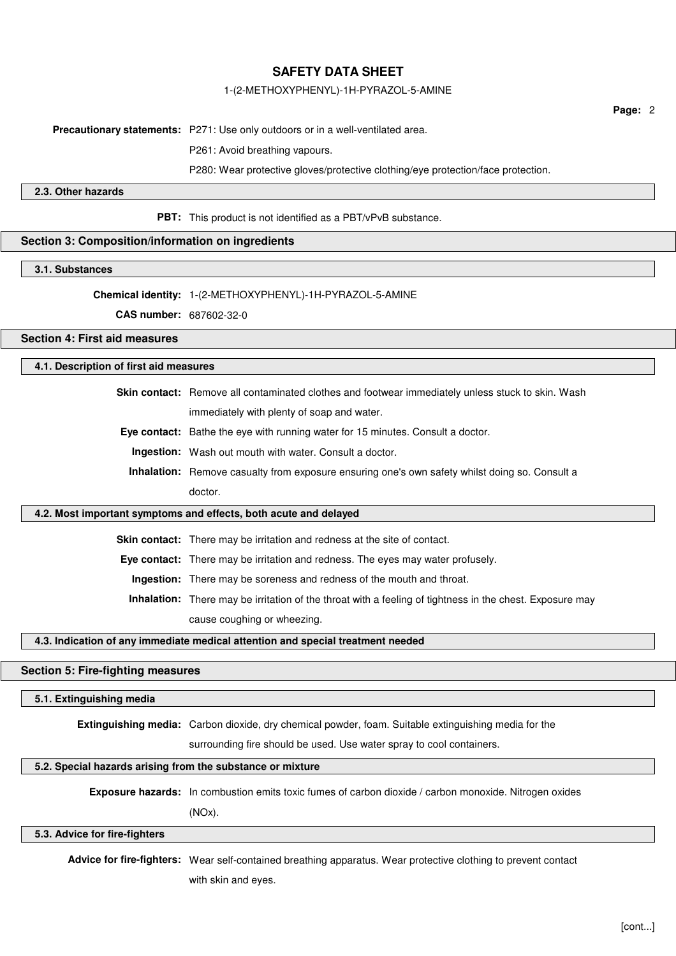### 1-(2-METHOXYPHENYL)-1H-PYRAZOL-5-AMINE

**Page:** 2

**Precautionary statements:** P271: Use only outdoors or in a well-ventilated area.

P261: Avoid breathing vapours.

P280: Wear protective gloves/protective clothing/eye protection/face protection.

**2.3. Other hazards**

**PBT:** This product is not identified as a PBT/vPvB substance.

### **Section 3: Composition/information on ingredients**

**3.1. Substances**

**Chemical identity:** 1-(2-METHOXYPHENYL)-1H-PYRAZOL-5-AMINE

**CAS number:** 687602-32-0

**Section 4: First aid measures**

### **4.1. Description of first aid measures**

**Skin contact:** Remove all contaminated clothes and footwear immediately unless stuck to skin. Wash

immediately with plenty of soap and water.

**Eye contact:** Bathe the eye with running water for 15 minutes. Consult a doctor.

**Ingestion:** Wash out mouth with water. Consult a doctor.

**Inhalation:** Remove casualty from exposure ensuring one's own safety whilst doing so. Consult a doctor.

### **4.2. Most important symptoms and effects, both acute and delayed**

**Skin contact:** There may be irritation and redness at the site of contact.

**Eye contact:** There may be irritation and redness. The eyes may water profusely.

**Ingestion:** There may be soreness and redness of the mouth and throat.

**Inhalation:** There may be irritation of the throat with a feeling of tightness in the chest. Exposure may cause coughing or wheezing.

### **4.3. Indication of any immediate medical attention and special treatment needed**

### **Section 5: Fire-fighting measures**

#### **5.1. Extinguishing media**

**Extinguishing media:** Carbon dioxide, dry chemical powder, foam. Suitable extinguishing media for the

surrounding fire should be used. Use water spray to cool containers.

#### **5.2. Special hazards arising from the substance or mixture**

**Exposure hazards:** In combustion emits toxic fumes of carbon dioxide / carbon monoxide. Nitrogen oxides

(NOx).

#### **5.3. Advice for fire-fighters**

**Advice for fire-fighters:** Wear self-contained breathing apparatus. Wear protective clothing to prevent contact

with skin and eyes.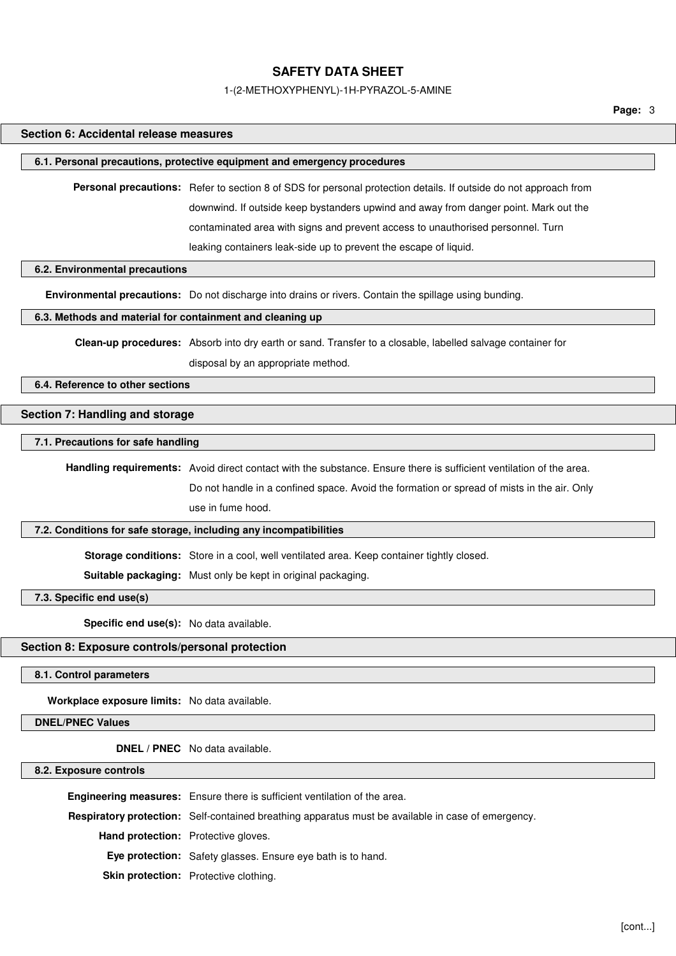#### 1-(2-METHOXYPHENYL)-1H-PYRAZOL-5-AMINE

### **Section 6: Accidental release measures**

#### **6.1. Personal precautions, protective equipment and emergency procedures**

**Personal precautions:** Refer to section 8 of SDS for personal protection details. If outside do not approach from downwind. If outside keep bystanders upwind and away from danger point. Mark out the contaminated area with signs and prevent access to unauthorised personnel. Turn leaking containers leak-side up to prevent the escape of liquid.

### **6.2. Environmental precautions**

**Environmental precautions:** Do not discharge into drains or rivers. Contain the spillage using bunding.

### **6.3. Methods and material for containment and cleaning up**

**Clean-up procedures:** Absorb into dry earth or sand. Transfer to a closable, labelled salvage container for

disposal by an appropriate method.

### **6.4. Reference to other sections**

### **Section 7: Handling and storage**

### **7.1. Precautions for safe handling**

**Handling requirements:** Avoid direct contact with the substance. Ensure there is sufficient ventilation of the area. Do not handle in a confined space. Avoid the formation or spread of mists in the air. Only use in fume hood.

### **7.2. Conditions for safe storage, including any incompatibilities**

**Storage conditions:** Store in a cool, well ventilated area. Keep container tightly closed.

**Suitable packaging:** Must only be kept in original packaging.

**7.3. Specific end use(s)**

**Specific end use(s):** No data available.

#### **Section 8: Exposure controls/personal protection**

**8.1. Control parameters**

**Workplace exposure limits:** No data available.

### **DNEL/PNEC Values**

**DNEL / PNEC** No data available.

**8.2. Exposure controls**

|                                            | Engineering measures: Ensure there is sufficient ventilation of the area.                                 |
|--------------------------------------------|-----------------------------------------------------------------------------------------------------------|
|                                            | <b>Respiratory protection:</b> Self-contained breathing apparatus must be available in case of emergency. |
| <b>Hand protection:</b> Protective gloves. |                                                                                                           |
|                                            | <b>Eye protection:</b> Safety glasses. Ensure eye bath is to hand.                                        |
|                                            | <b>Skin protection:</b> Protective clothing.                                                              |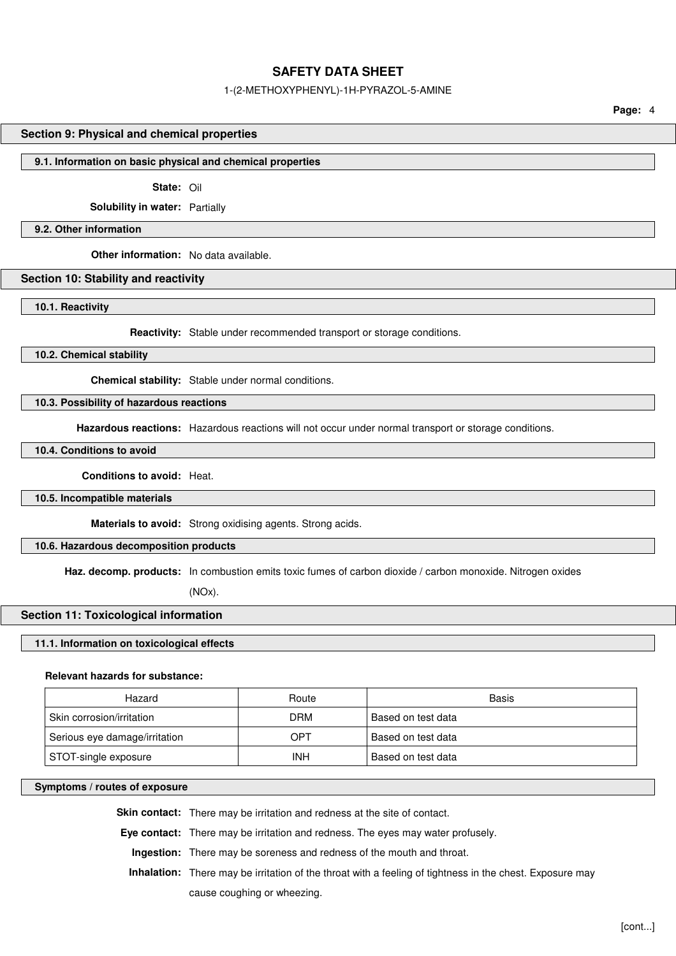#### 1-(2-METHOXYPHENYL)-1H-PYRAZOL-5-AMINE

**Page:** 4

### **Section 9: Physical and chemical properties**

#### **9.1. Information on basic physical and chemical properties**

**State:** Oil

**Solubility in water:** Partially

**9.2. Other information**

**Other information:** No data available.

### **Section 10: Stability and reactivity**

**10.1. Reactivity**

**Reactivity:** Stable under recommended transport or storage conditions.

**10.2. Chemical stability**

**Chemical stability:** Stable under normal conditions.

**10.3. Possibility of hazardous reactions**

**Hazardous reactions:** Hazardous reactions will not occur under normal transport or storage conditions.

**10.4. Conditions to avoid**

**Conditions to avoid:** Heat.

**10.5. Incompatible materials**

**Materials to avoid:** Strong oxidising agents. Strong acids.

### **10.6. Hazardous decomposition products**

Haz. decomp. products: In combustion emits toxic fumes of carbon dioxide / carbon monoxide. Nitrogen oxides

(NOx).

### **Section 11: Toxicological information**

#### **11.1. Information on toxicological effects**

### **Relevant hazards for substance:**

| Hazard                        | Route      | Basis              |
|-------------------------------|------------|--------------------|
| Skin corrosion/irritation     | <b>DRM</b> | Based on test data |
| Serious eye damage/irritation | OPT        | Based on test data |
| STOT-single exposure          | <b>INH</b> | Based on test data |

### **Symptoms / routes of exposure**

**Skin contact:** There may be irritation and redness at the site of contact.

**Eye contact:** There may be irritation and redness. The eyes may water profusely.

**Ingestion:** There may be soreness and redness of the mouth and throat.

**Inhalation:** There may be irritation of the throat with a feeling of tightness in the chest. Exposure may

cause coughing or wheezing.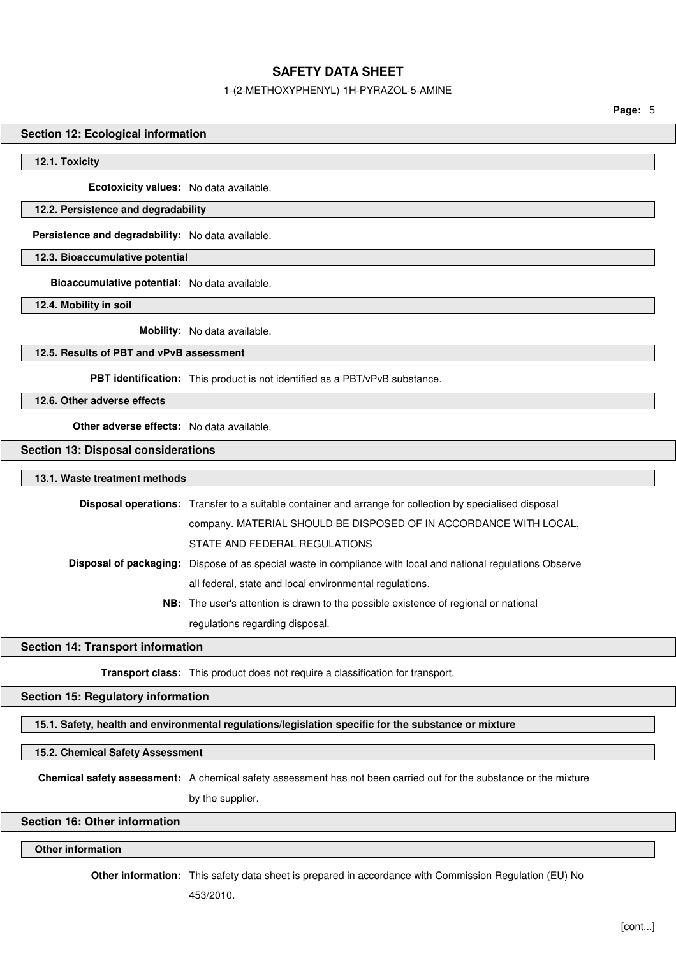### 1-(2-METHOXYPHENYL)-1H-PYRAZOL-5-AMINE

**Page:** 5

### **Section 12: Ecological information**

**12.1. Toxicity**

**Ecotoxicity values:** No data available.

#### **12.2. Persistence and degradability**

**Persistence and degradability:** No data available.

**12.3. Bioaccumulative potential**

**Bioaccumulative potential:** No data available.

**12.4. Mobility in soil**

**Mobility:** No data available.

### **12.5. Results of PBT and vPvB assessment**

**PBT identification:** This product is not identified as a PBT/vPvB substance.

**12.6. Other adverse effects**

**Other adverse effects:** No data available.

### **Section 13: Disposal considerations**

### **13.1. Waste treatment methods**

| Disposal operations: Transfer to a suitable container and arrange for collection by specialised disposal            |
|---------------------------------------------------------------------------------------------------------------------|
| company. MATERIAL SHOULD BE DISPOSED OF IN ACCORDANCE WITH LOCAL,                                                   |
| STATE AND FEDERAL REGULATIONS                                                                                       |
| <b>Disposal of packaging:</b> Dispose of as special waste in compliance with local and national regulations Observe |
| all federal, state and local environmental regulations.                                                             |
| <b>NB:</b> The user's attention is drawn to the possible existence of regional or national                          |
| regulations regarding disposal.                                                                                     |

### **Section 14: Transport information**

**Transport class:** This product does not require a classification for transport.

### **Section 15: Regulatory information**

**15.1. Safety, health and environmental regulations/legislation specific for the substance or mixture**

**15.2. Chemical Safety Assessment**

**Chemical safety assessment:** A chemical safety assessment has not been carried out for the substance or the mixture

by the supplier.

### **Section 16: Other information**

### **Other information**

**Other information:** This safety data sheet is prepared in accordance with Commission Regulation (EU) No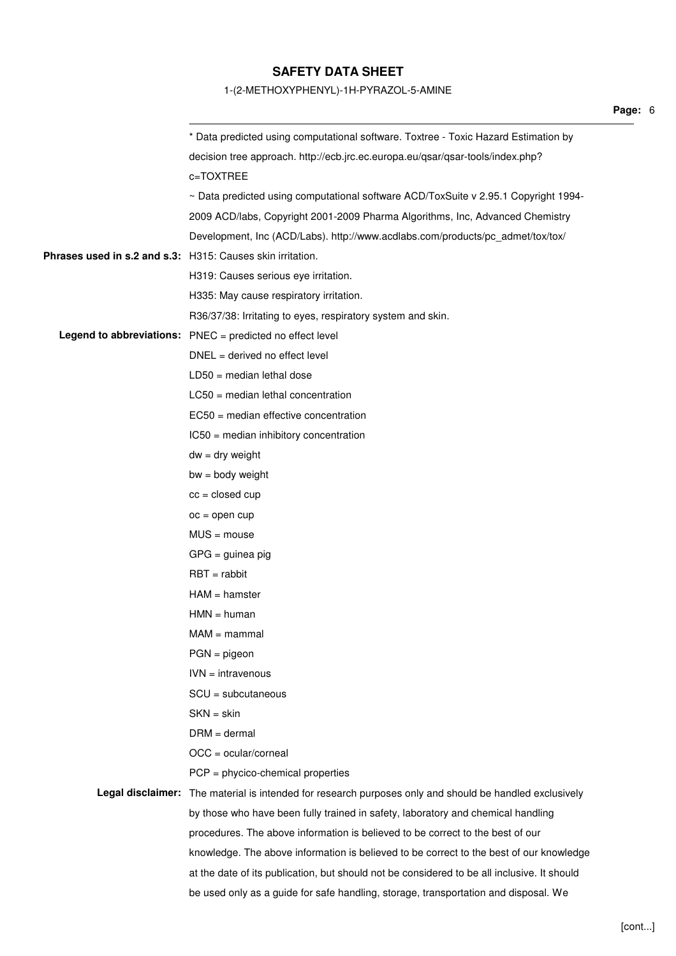### 1-(2-METHOXYPHENYL)-1H-PYRAZOL-5-AMINE

|                                                            | * Data predicted using computational software. Toxtree - Toxic Hazard Estimation by                     |
|------------------------------------------------------------|---------------------------------------------------------------------------------------------------------|
|                                                            | decision tree approach. http://ecb.jrc.ec.europa.eu/qsar/qsar-tools/index.php?                          |
|                                                            | c=TOXTREE                                                                                               |
|                                                            | ~ Data predicted using computational software ACD/ToxSuite v 2.95.1 Copyright 1994-                     |
|                                                            | 2009 ACD/labs, Copyright 2001-2009 Pharma Algorithms, Inc, Advanced Chemistry                           |
|                                                            | Development, Inc (ACD/Labs). http://www.acdlabs.com/products/pc_admet/tox/tox/                          |
| Phrases used in s.2 and s.3: H315: Causes skin irritation. |                                                                                                         |
|                                                            | H319: Causes serious eye irritation.                                                                    |
|                                                            | H335: May cause respiratory irritation.                                                                 |
|                                                            | R36/37/38: Irritating to eyes, respiratory system and skin.                                             |
|                                                            | Legend to abbreviations: PNEC = predicted no effect level                                               |
|                                                            | $DNEL = derived no effect level$                                                                        |
|                                                            | $LD50 = median$ lethal dose                                                                             |
|                                                            | $LC50$ = median lethal concentration                                                                    |
|                                                            | EC50 = median effective concentration                                                                   |
|                                                            | IC50 = median inhibitory concentration                                                                  |
|                                                            | $dw = dry$ weight                                                                                       |
|                                                            | $bw = body weight$                                                                                      |
|                                                            | $cc = closed cup$                                                                                       |
|                                                            | $oc = open cup$                                                                                         |
|                                                            | $MUS = mouse$                                                                                           |
|                                                            | $GPG =$ guinea pig                                                                                      |
|                                                            | $RBT = rabbit$                                                                                          |
|                                                            | $HAM = hamster$                                                                                         |
|                                                            | $HMN = human$                                                                                           |
|                                                            | $MAM =$ mammal                                                                                          |
|                                                            | $PGN = pigeon$                                                                                          |
|                                                            | $IVN = intravenous$                                                                                     |
|                                                            | $SCU = subcutaneous$                                                                                    |
|                                                            | $SKN = skin$                                                                                            |
|                                                            | $DRM = dermal$                                                                                          |
|                                                            | $OCC = ocular/corneal$                                                                                  |
|                                                            | $PCP = phycico$ -chemical properties                                                                    |
|                                                            | Legal disclaimer: The material is intended for research purposes only and should be handled exclusively |
|                                                            | by those who have been fully trained in safety, laboratory and chemical handling                        |
|                                                            | procedures. The above information is believed to be correct to the best of our                          |
|                                                            | knowledge. The above information is believed to be correct to the best of our knowledge                 |
|                                                            | at the date of its publication, but should not be considered to be all inclusive. It should             |
|                                                            | be used only as a guide for safe handling, storage, transportation and disposal. We                     |

**Page:** 6